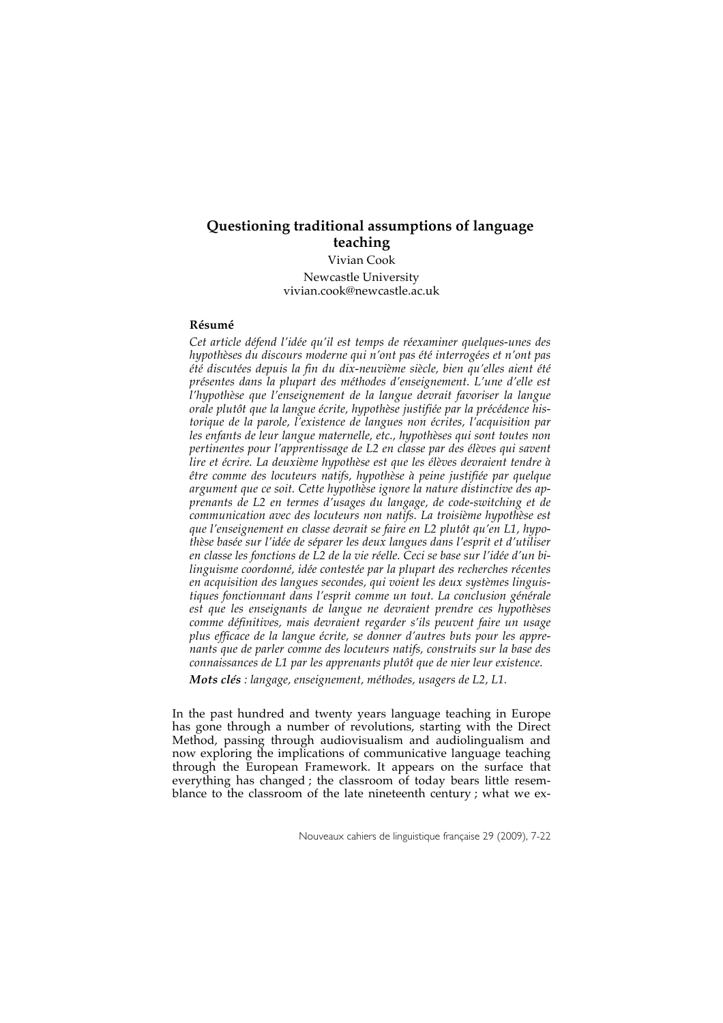# **Questioning traditional assumptions of language teaching** Vivian Cook Newcastle University

vivian.cook@newcastle.ac.uk

## **Résumé**

*Cet article défend l'idée qu'il est temps de réexaminer quelques-unes des hypothèses du discours moderne qui n'ont pas été interrogées et n'ont pas été discutées depuis la fin du dix-neuvième siècle, bien qu'elles aient été présentes dans la plupart des méthodes d'enseignement. L'une d'elle est l'hypothèse que l'enseignement de la langue devrait favoriser la langue orale plutôt que la langue écrite, hypothèse justifiée par la précédence historique de la parole, l'existence de langues non écrites, l'acquisition par les enfants de leur langue maternelle, etc., hypothèses qui sont toutes non pertinentes pour l'apprentissage de L2 en classe par des élèves qui savent lire et écrire. La deuxième hypothèse est que les élèves devraient tendre à être comme des locuteurs natifs, hypothèse à peine justifiée par quelque argument que ce soit. Cette hypothèse ignore la nature distinctive des apprenants de L2 en termes d'usages du langage, de code-switching et de communication avec des locuteurs non natifs. La troisième hypothèse est que l'enseignement en classe devrait se faire en L2 plutôt qu'en L1, hypothèse basée sur l'idée de séparer les deux langues dans l'esprit et d'utiliser en classe les fonctions de L2 de la vie réelle. Ceci se base sur l'idée d'un bilinguisme coordonné, idée contestée par la plupart des recherches récentes en acquisition des langues secondes, qui voient les deux systèmes linguistiques fonctionnant dans l'esprit comme un tout. La conclusion générale est que les enseignants de langue ne devraient prendre ces hypothèses comme définitives, mais devraient regarder s'ils peuvent faire un usage plus efficace de la langue écrite, se donner d'autres buts pour les apprenants que de parler comme des locuteurs natifs, construits sur la base des connaissances de L1 par les apprenants plutôt que de nier leur existence.*

*Mots clés : langage, enseignement, méthodes, usagers de L2, L1.*

In the past hundred and twenty years language teaching in Europe has gone through a number of revolutions, starting with the Direct Method, passing through audiovisualism and audiolingualism and now exploring the implications of communicative language teaching through the European Framework. It appears on the surface that everything has changed ; the classroom of today bears little resemblance to the classroom of the late nineteenth century ; what we ex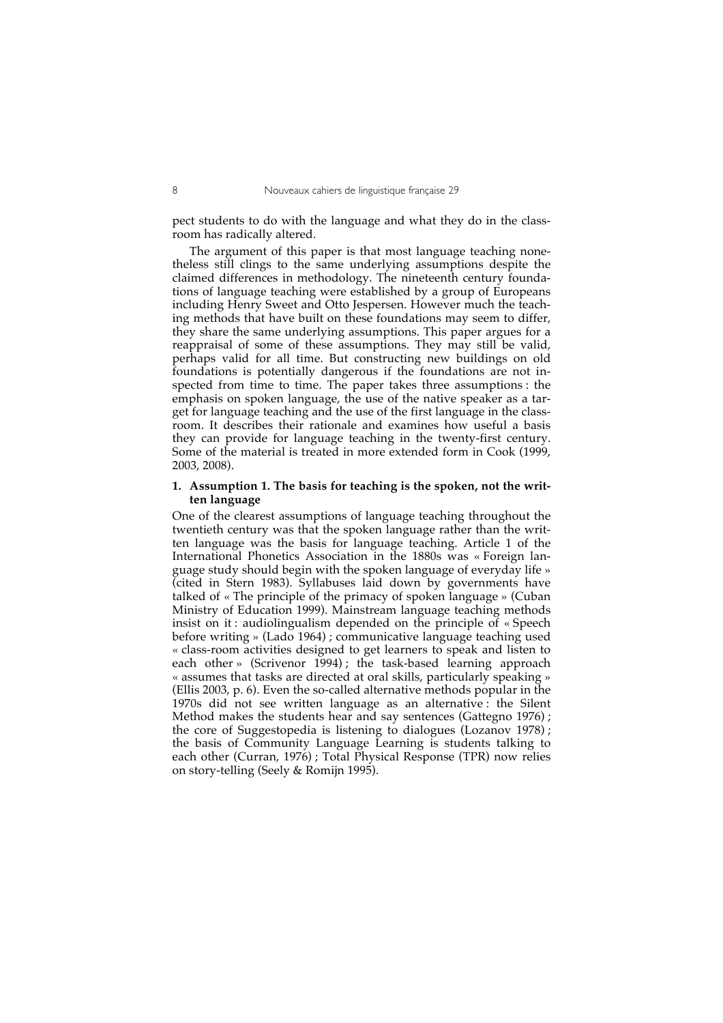pect students to do with the language and what they do in the classroom has radically altered.

The argument of this paper is that most language teaching nonetheless still clings to the same underlying assumptions despite the claimed differences in methodology. The nineteenth century foundations of language teaching were established by a group of Europeans including Henry Sweet and Otto Jespersen. However much the teaching methods that have built on these foundations may seem to differ, they share the same underlying assumptions. This paper argues for a reappraisal of some of these assumptions. They may still be valid, perhaps valid for all time. But constructing new buildings on old foundations is potentially dangerous if the foundations are not inspected from time to time. The paper takes three assumptions : the emphasis on spoken language, the use of the native speaker as a target for language teaching and the use of the first language in the classroom. It describes their rationale and examines how useful a basis they can provide for language teaching in the twenty-first century. Some of the material is treated in more extended form in Cook (1999, 2003, 2008).

## **1. Assumption 1. The basis for teaching is the spoken, not the written language**

One of the clearest assumptions of language teaching throughout the twentieth century was that the spoken language rather than the written language was the basis for language teaching. Article 1 of the International Phonetics Association in the 1880s was « Foreign language study should begin with the spoken language of everyday life » (cited in Stern 1983). Syllabuses laid down by governments have talked of « The principle of the primacy of spoken language » (Cuban Ministry of Education 1999). Mainstream language teaching methods insist on it : audiolingualism depended on the principle of « Speech before writing » (Lado 1964) ; communicative language teaching used « class-room activities designed to get learners to speak and listen to each other» (Scrivenor 1994); the task-based learning approach « assumes that tasks are directed at oral skills, particularly speaking » (Ellis 2003, p. 6). Even the so-called alternative methods popular in the 1970s did not see written language as an alternative : the Silent Method makes the students hear and say sentences (Gattegno 1976) ; the core of Suggestopedia is listening to dialogues (Lozanov 1978) ; the basis of Community Language Learning is students talking to each other (Curran, 1976) ; Total Physical Response (TPR) now relies on story-telling (Seely & Romijn 1995).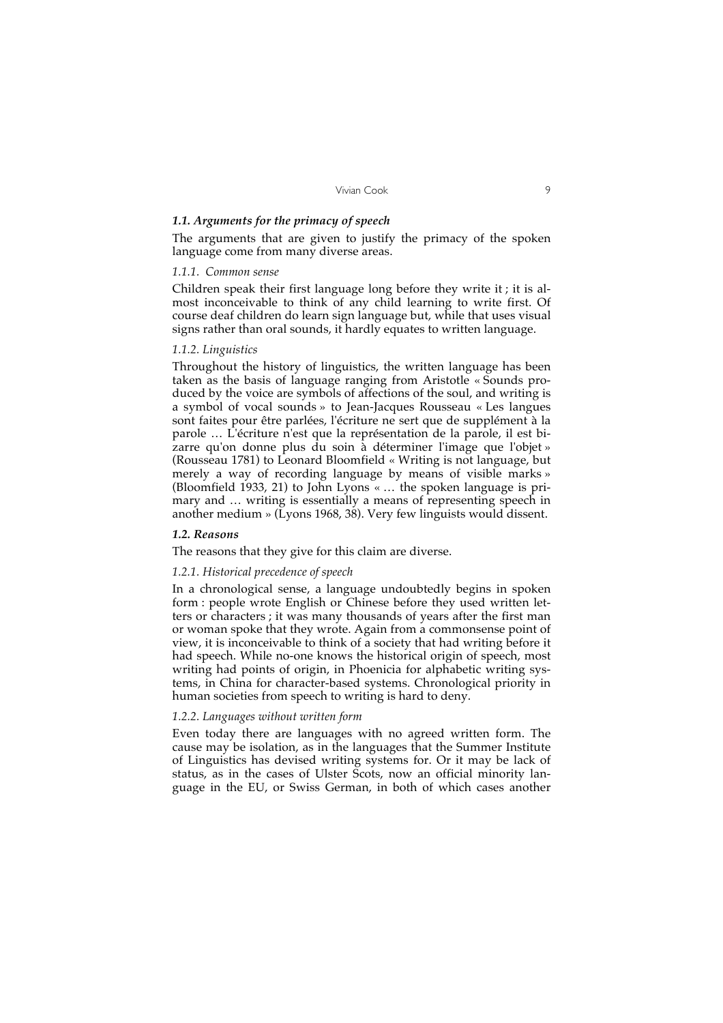## *1.1. Arguments for the primacy of speech*

The arguments that are given to justify the primacy of the spoken language come from many diverse areas.

## *1.1.1. Common sense*

Children speak their first language long before they write it ; it is almost inconceivable to think of any child learning to write first. Of course deaf children do learn sign language but, while that uses visual signs rather than oral sounds, it hardly equates to written language.

#### *1.1.2. Linguistics*

Throughout the history of linguistics, the written language has been taken as the basis of language ranging from Aristotle « Sounds produced by the voice are symbols of affections of the soul, and writing is a symbol of vocal sounds » to Jean-Jacques Rousseau « Les langues sont faites pour être parlées, l'écriture ne sert que de supplément à la parole … L'écriture n'est que la représentation de la parole, il est bizarre qu'on donne plus du soin à déterminer l'image que l'objet » (Rousseau 1781) to Leonard Bloomfield « Writing is not language, but merely a way of recording language by means of visible marks » (Bloomfield 1933, 21) to John Lyons « … the spoken language is primary and … writing is essentially a means of representing speech in another medium » (Lyons 1968, 38). Very few linguists would dissent.

#### *1.2. Reasons*

## The reasons that they give for this claim are diverse.

#### *1.2.1. Historical precedence of speech*

In a chronological sense, a language undoubtedly begins in spoken form : people wrote English or Chinese before they used written letters or characters ; it was many thousands of years after the first man or woman spoke that they wrote. Again from a commonsense point of view, it is inconceivable to think of a society that had writing before it had speech. While no-one knows the historical origin of speech, most writing had points of origin, in Phoenicia for alphabetic writing systems, in China for character-based systems. Chronological priority in human societies from speech to writing is hard to deny.

#### *1.2.2. Languages without written form*

Even today there are languages with no agreed written form. The cause may be isolation, as in the languages that the Summer Institute of Linguistics has devised writing systems for. Or it may be lack of status, as in the cases of Ulster Scots, now an official minority language in the EU, or Swiss German, in both of which cases another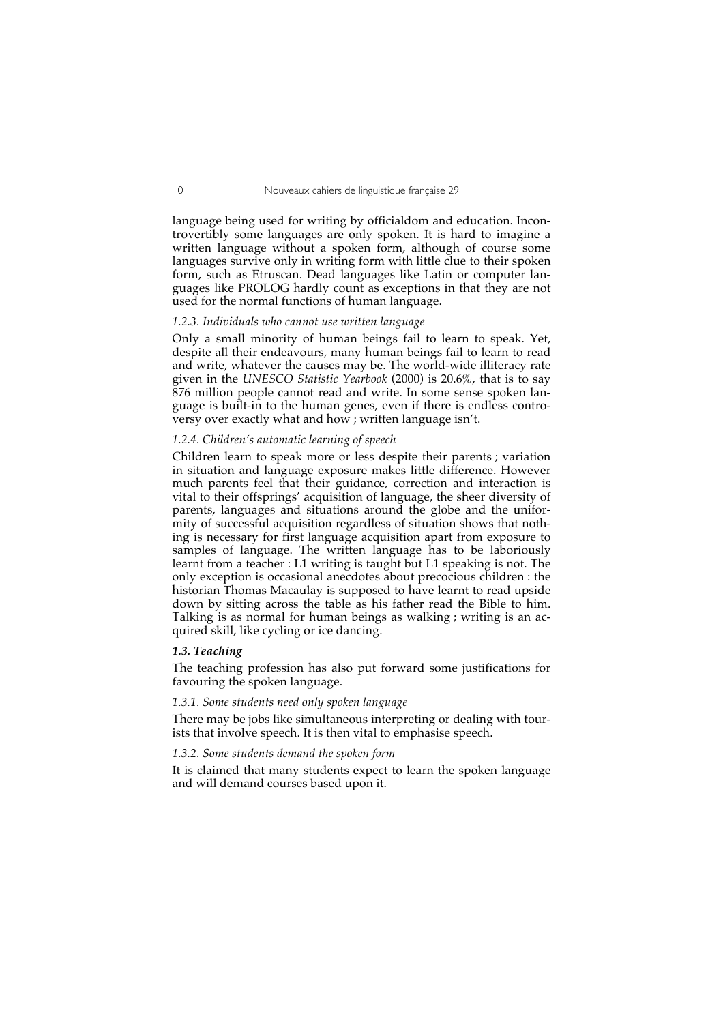language being used for writing by officialdom and education. Incontrovertibly some languages are only spoken. It is hard to imagine a written language without a spoken form, although of course some languages survive only in writing form with little clue to their spoken form, such as Etruscan. Dead languages like Latin or computer languages like PROLOG hardly count as exceptions in that they are not used for the normal functions of human language.

#### *1.2.3. Individuals who cannot use written language*

Only a small minority of human beings fail to learn to speak. Yet, despite all their endeavours, many human beings fail to learn to read and write, whatever the causes may be. The world-wide illiteracy rate given in the *UNESCO Statistic Yearbook* (2000) is 20.6%, that is to say 876 million people cannot read and write. In some sense spoken language is built-in to the human genes, even if there is endless controversy over exactly what and how ; written language isn't.

#### *1.2.4. Children's automatic learning of speech*

Children learn to speak more or less despite their parents ; variation in situation and language exposure makes little difference. However much parents feel that their guidance, correction and interaction is vital to their offsprings' acquisition of language, the sheer diversity of parents, languages and situations around the globe and the uniformity of successful acquisition regardless of situation shows that nothing is necessary for first language acquisition apart from exposure to samples of language. The written language has to be laboriously learnt from a teacher : L1 writing is taught but L1 speaking is not. The only exception is occasional anecdotes about precocious children : the historian Thomas Macaulay is supposed to have learnt to read upside down by sitting across the table as his father read the Bible to him. Talking is as normal for human beings as walking ; writing is an acquired skill, like cycling or ice dancing.

#### *1.3. Teaching*

The teaching profession has also put forward some justifications for favouring the spoken language.

## *1.3.1. Some students need only spoken language*

There may be jobs like simultaneous interpreting or dealing with tourists that involve speech. It is then vital to emphasise speech.

## *1.3.2. Some students demand the spoken form*

It is claimed that many students expect to learn the spoken language and will demand courses based upon it.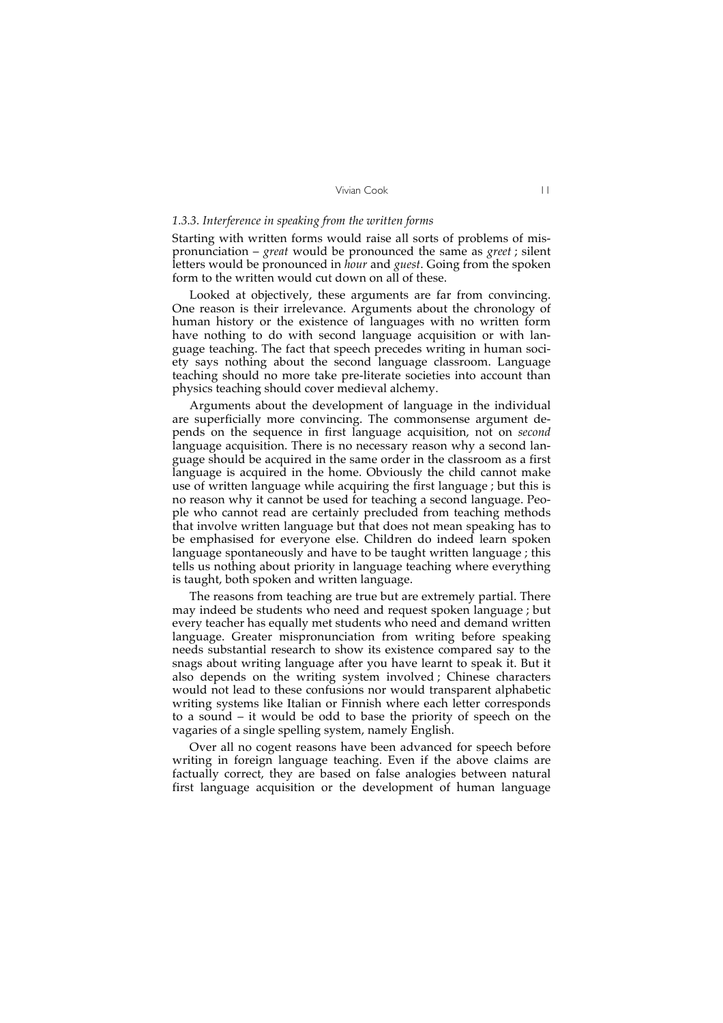## *1.3.3. Interference in speaking from the written forms*

Starting with written forms would raise all sorts of problems of mispronunciation – *great* would be pronounced the same as *greet* ; silent letters would be pronounced in *hour* and *guest*. Going from the spoken form to the written would cut down on all of these.

Looked at objectively, these arguments are far from convincing. One reason is their irrelevance. Arguments about the chronology of human history or the existence of languages with no written form have nothing to do with second language acquisition or with language teaching. The fact that speech precedes writing in human society says nothing about the second language classroom. Language teaching should no more take pre-literate societies into account than physics teaching should cover medieval alchemy.

Arguments about the development of language in the individual are superficially more convincing. The commonsense argument depends on the sequence in first language acquisition, not on *second* language acquisition. There is no necessary reason why a second language should be acquired in the same order in the classroom as a first language is acquired in the home. Obviously the child cannot make use of written language while acquiring the first language ; but this is no reason why it cannot be used for teaching a second language. People who cannot read are certainly precluded from teaching methods that involve written language but that does not mean speaking has to be emphasised for everyone else. Children do indeed learn spoken language spontaneously and have to be taught written language; this tells us nothing about priority in language teaching where everything is taught, both spoken and written language.

The reasons from teaching are true but are extremely partial. There may indeed be students who need and request spoken language ; but every teacher has equally met students who need and demand written language. Greater mispronunciation from writing before speaking needs substantial research to show its existence compared say to the snags about writing language after you have learnt to speak it. But it also depends on the writing system involved ; Chinese characters would not lead to these confusions nor would transparent alphabetic writing systems like Italian or Finnish where each letter corresponds to a sound – it would be odd to base the priority of speech on the vagaries of a single spelling system, namely English.

Over all no cogent reasons have been advanced for speech before writing in foreign language teaching. Even if the above claims are factually correct, they are based on false analogies between natural first language acquisition or the development of human language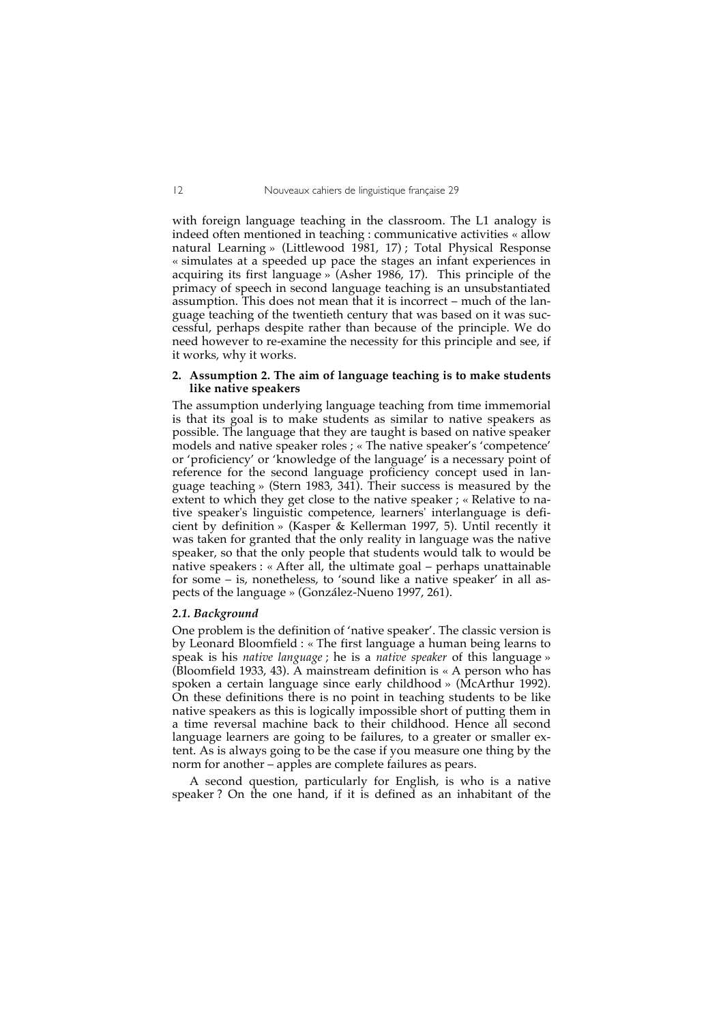with foreign language teaching in the classroom. The L1 analogy is indeed often mentioned in teaching : communicative activities « allow natural Learning » (Littlewood 1981, 17) ; Total Physical Response « simulates at a speeded up pace the stages an infant experiences in acquiring its first language » (Asher 1986, 17). This principle of the primacy of speech in second language teaching is an unsubstantiated assumption. This does not mean that it is incorrect – much of the language teaching of the twentieth century that was based on it was successful, perhaps despite rather than because of the principle. We do need however to re-examine the necessity for this principle and see, if it works, why it works.

#### **2. Assumption 2. The aim of language teaching is to make students like native speakers**

The assumption underlying language teaching from time immemorial is that its goal is to make students as similar to native speakers as possible. The language that they are taught is based on native speaker models and native speaker roles ; « The native speaker's 'competence' or 'proficiency' or 'knowledge of the language' is a necessary point of reference for the second language proficiency concept used in language teaching » (Stern 1983, 341). Their success is measured by the extent to which they get close to the native speaker ; « Relative to native speaker's linguistic competence, learners' interlanguage is deficient by definition » (Kasper & Kellerman 1997, 5). Until recently it was taken for granted that the only reality in language was the native speaker, so that the only people that students would talk to would be native speakers : « After all, the ultimate goal – perhaps unattainable for some – is, nonetheless, to 'sound like a native speaker' in all aspects of the language » (González-Nueno 1997, 261).

#### *2.1. Background*

One problem is the definition of 'native speaker'. The classic version is by Leonard Bloomfield : « The first language a human being learns to speak is his *native language* ; he is a *native speaker* of this language » (Bloomfield 1933, 43). A mainstream definition is « A person who has spoken a certain language since early childhood » (McArthur 1992). On these definitions there is no point in teaching students to be like native speakers as this is logically impossible short of putting them in a time reversal machine back to their childhood. Hence all second language learners are going to be failures, to a greater or smaller extent. As is always going to be the case if you measure one thing by the norm for another – apples are complete failures as pears.

A second question, particularly for English, is who is a native speaker ? On the one hand, if it is defined as an inhabitant of the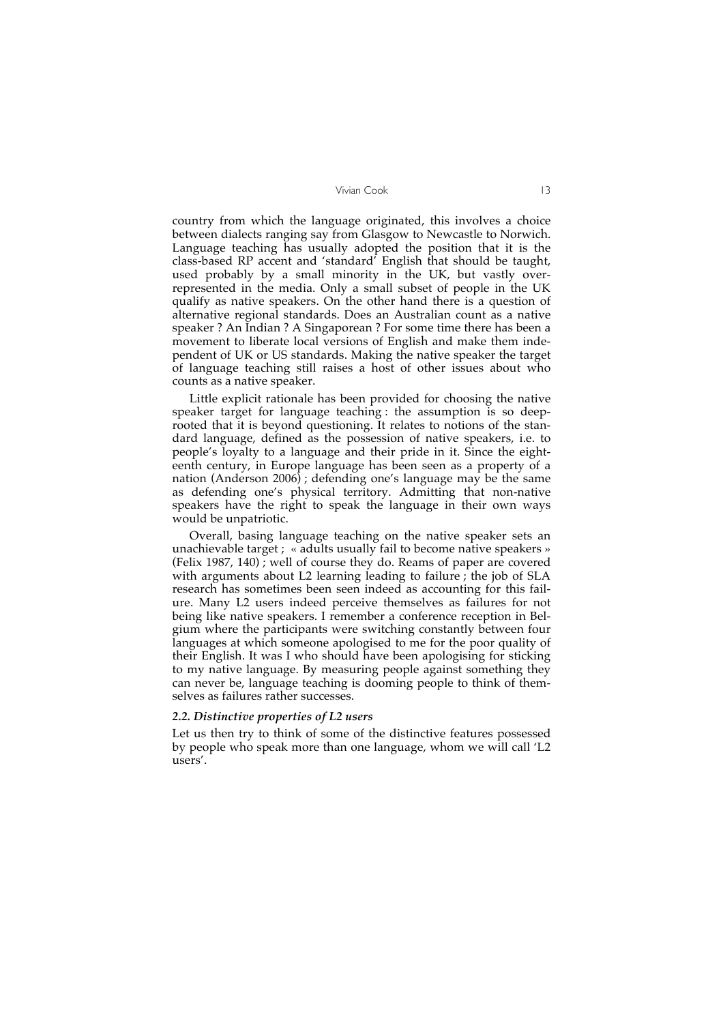country from which the language originated, this involves a choice between dialects ranging say from Glasgow to Newcastle to Norwich. Language teaching has usually adopted the position that it is the class-based RP accent and 'standard' English that should be taught, used probably by a small minority in the UK, but vastly overrepresented in the media. Only a small subset of people in the UK qualify as native speakers. On the other hand there is a question of alternative regional standards. Does an Australian count as a native speaker ? An Indian ? A Singaporean ? For some time there has been a movement to liberate local versions of English and make them independent of UK or US standards. Making the native speaker the target of language teaching still raises a host of other issues about who counts as a native speaker.

Little explicit rationale has been provided for choosing the native speaker target for language teaching : the assumption is so deeprooted that it is beyond questioning. It relates to notions of the standard language, defined as the possession of native speakers, i.e. to people's loyalty to a language and their pride in it. Since the eighteenth century, in Europe language has been seen as a property of a nation (Anderson 2006) ; defending one's language may be the same as defending one's physical territory. Admitting that non-native speakers have the right to speak the language in their own ways would be unpatriotic.

Overall, basing language teaching on the native speaker sets an unachievable target ; « adults usually fail to become native speakers » (Felix 1987, 140) ; well of course they do. Reams of paper are covered with arguments about L2 learning leading to failure ; the job of SLA research has sometimes been seen indeed as accounting for this failure. Many L2 users indeed perceive themselves as failures for not being like native speakers. I remember a conference reception in Belgium where the participants were switching constantly between four languages at which someone apologised to me for the poor quality of their English. It was I who should have been apologising for sticking to my native language. By measuring people against something they can never be, language teaching is dooming people to think of themselves as failures rather successes.

#### *2.2. Distinctive properties of L2 users*

Let us then try to think of some of the distinctive features possessed by people who speak more than one language, whom we will call 'L2 users'.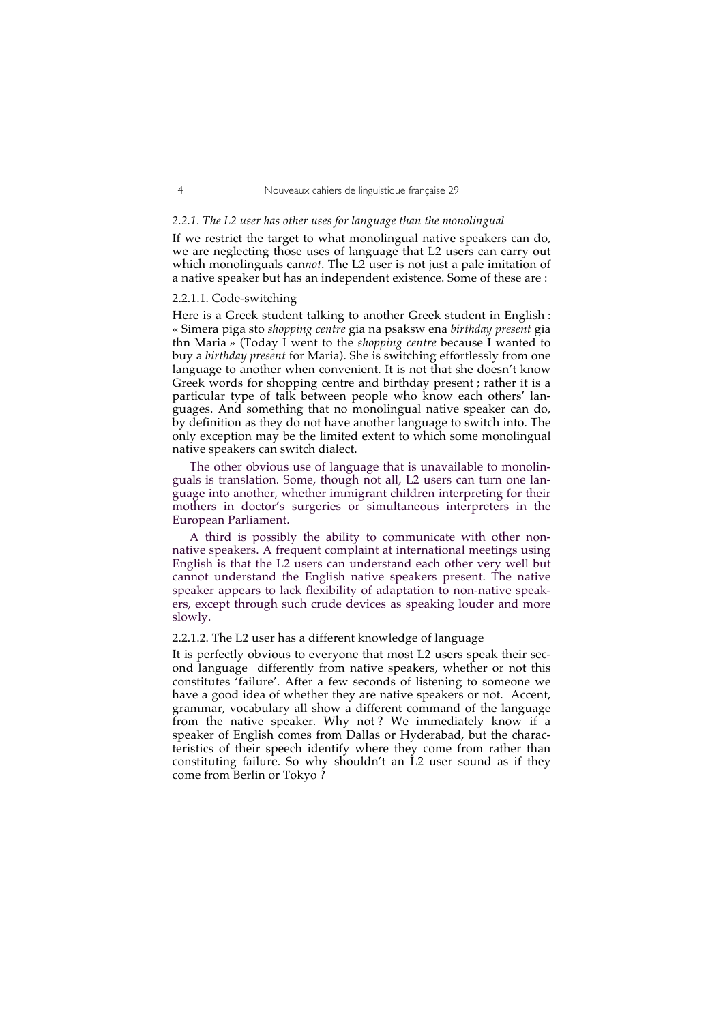## *2.2.1. The L2 user has other uses for language than the monolingual*

If we restrict the target to what monolingual native speakers can do, we are neglecting those uses of language that L2 users can carry out which monolinguals can*not*. The L2 user is not just a pale imitation of a native speaker but has an independent existence. Some of these are :

## 2.2.1.1. Code-switching

Here is a Greek student talking to another Greek student in English : « Simera piga sto *shopping centre* gia na psaksw ena *birthday present* gia thn Maria » (Today I went to the *shopping centre* because I wanted to buy a *birthday present* for Maria). She is switching effortlessly from one language to another when convenient. It is not that she doesn't know Greek words for shopping centre and birthday present ; rather it is a particular type of talk between people who know each others' languages. And something that no monolingual native speaker can do, by definition as they do not have another language to switch into. The only exception may be the limited extent to which some monolingual native speakers can switch dialect.

The other obvious use of language that is unavailable to monolinguals is translation. Some, though not all, L2 users can turn one language into another, whether immigrant children interpreting for their mothers in doctor's surgeries or simultaneous interpreters in the European Parliament.

A third is possibly the ability to communicate with other nonnative speakers. A frequent complaint at international meetings using English is that the L2 users can understand each other very well but cannot understand the English native speakers present. The native speaker appears to lack flexibility of adaptation to non-native speakers, except through such crude devices as speaking louder and more slowly.

## 2.2.1.2. The L2 user has a different knowledge of language

It is perfectly obvious to everyone that most L2 users speak their second language differently from native speakers, whether or not this constitutes 'failure'. After a few seconds of listening to someone we have a good idea of whether they are native speakers or not. Accent, grammar, vocabulary all show a different command of the language from the native speaker. Why not ? We immediately know if a speaker of English comes from Dallas or Hyderabad, but the characteristics of their speech identify where they come from rather than constituting failure. So why shouldn't an L2 user sound as if they come from Berlin or Tokyo ?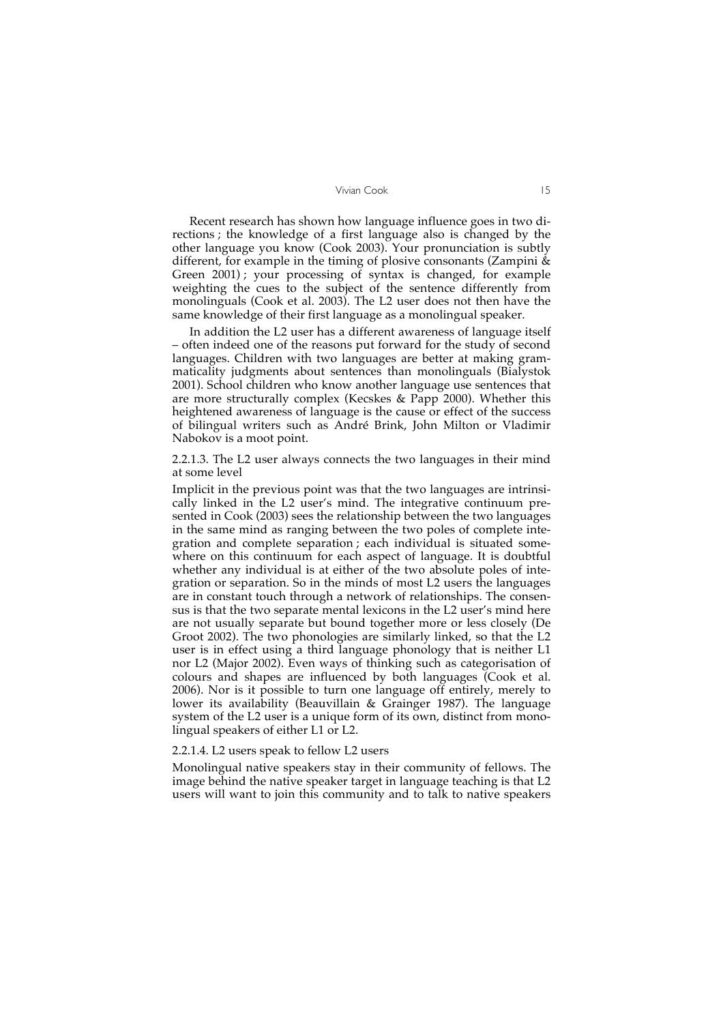Recent research has shown how language influence goes in two directions ; the knowledge of a first language also is changed by the other language you know (Cook 2003). Your pronunciation is subtly different, for example in the timing of plosive consonants (Zampini  $\&$ Green 2001) ; your processing of syntax is changed, for example weighting the cues to the subject of the sentence differently from monolinguals (Cook et al. 2003). The L2 user does not then have the same knowledge of their first language as a monolingual speaker.

In addition the L2 user has a different awareness of language itself – often indeed one of the reasons put forward for the study of second languages. Children with two languages are better at making grammaticality judgments about sentences than monolinguals (Bialystok 2001). School children who know another language use sentences that are more structurally complex (Kecskes & Papp 2000). Whether this heightened awareness of language is the cause or effect of the success of bilingual writers such as André Brink, John Milton or Vladimir Nabokov is a moot point.

2.2.1.3. The L2 user always connects the two languages in their mind at some level

Implicit in the previous point was that the two languages are intrinsically linked in the L2 user's mind. The integrative continuum presented in Cook (2003) sees the relationship between the two languages in the same mind as ranging between the two poles of complete integration and complete separation ; each individual is situated somewhere on this continuum for each aspect of language. It is doubtful whether any individual is at either of the two absolute poles of integration or separation. So in the minds of most L2 users the languages are in constant touch through a network of relationships. The consensus is that the two separate mental lexicons in the L2 user's mind here are not usually separate but bound together more or less closely (De Groot 2002). The two phonologies are similarly linked, so that the L2 user is in effect using a third language phonology that is neither L1 nor L2 (Major 2002). Even ways of thinking such as categorisation of colours and shapes are influenced by both languages (Cook et al. 2006). Nor is it possible to turn one language off entirely, merely to lower its availability (Beauvillain & Grainger 1987). The language system of the L2 user is a unique form of its own, distinct from monolingual speakers of either L1 or L2.

#### 2.2.1.4. L2 users speak to fellow L2 users

Monolingual native speakers stay in their community of fellows. The image behind the native speaker target in language teaching is that L2 users will want to join this community and to talk to native speakers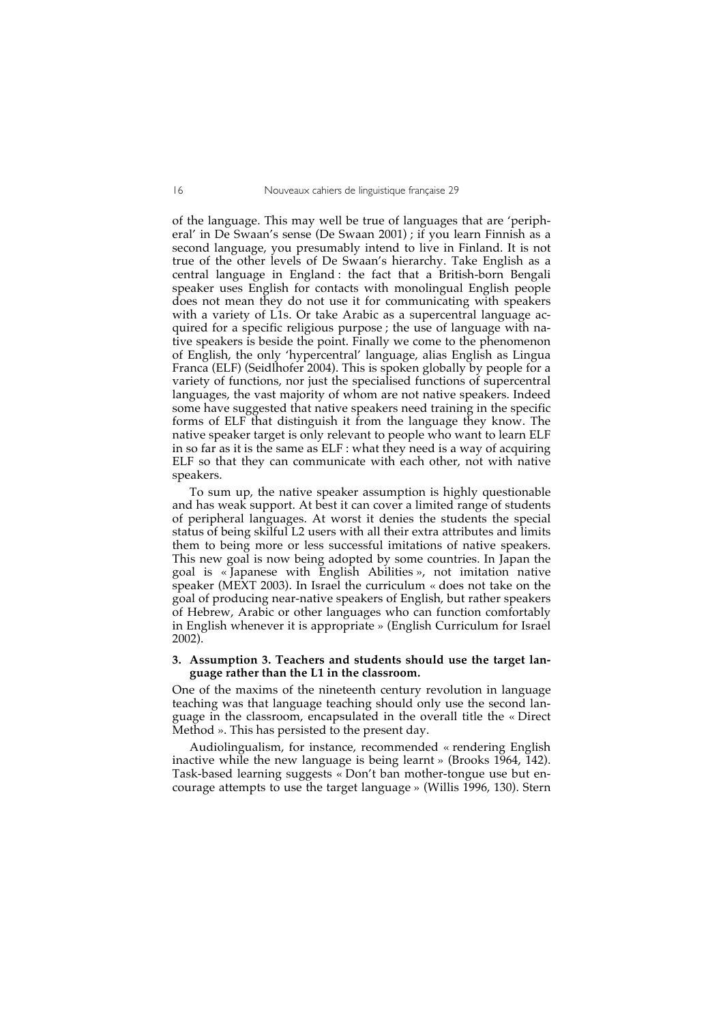of the language. This may well be true of languages that are 'peripheral' in De Swaan's sense (De Swaan 2001) ; if you learn Finnish as a second language, you presumably intend to live in Finland. It is not true of the other levels of De Swaan's hierarchy. Take English as a central language in England : the fact that a British-born Bengali speaker uses English for contacts with monolingual English people does not mean they do not use it for communicating with speakers with a variety of L1s. Or take Arabic as a supercentral language acquired for a specific religious purpose ; the use of language with native speakers is beside the point. Finally we come to the phenomenon of English, the only 'hypercentral' language, alias English as Lingua Franca (ELF) (Seidlhofer 2004). This is spoken globally by people for a variety of functions, nor just the specialised functions of supercentral languages, the vast majority of whom are not native speakers. Indeed some have suggested that native speakers need training in the specific forms of ELF that distinguish it from the language they know. The native speaker target is only relevant to people who want to learn ELF in so far as it is the same as ELF : what they need is a way of acquiring ELF so that they can communicate with each other, not with native speakers.

To sum up, the native speaker assumption is highly questionable and has weak support. At best it can cover a limited range of students of peripheral languages. At worst it denies the students the special status of being skilful L2 users with all their extra attributes and limits them to being more or less successful imitations of native speakers. This new goal is now being adopted by some countries. In Japan the goal is « Japanese with English Abilities », not imitation native speaker (MEXT 2003). In Israel the curriculum « does not take on the goal of producing near-native speakers of English, but rather speakers of Hebrew, Arabic or other languages who can function comfortably in English whenever it is appropriate » (English Curriculum for Israel 2002).

### **3. Assumption 3. Teachers and students should use the target language rather than the L1 in the classroom.**

One of the maxims of the nineteenth century revolution in language teaching was that language teaching should only use the second language in the classroom, encapsulated in the overall title the « Direct Method ». This has persisted to the present day.

Audiolingualism, for instance, recommended « rendering English inactive while the new language is being learnt » (Brooks 1964, 142). Task-based learning suggests « Don't ban mother-tongue use but encourage attempts to use the target language » (Willis 1996, 130). Stern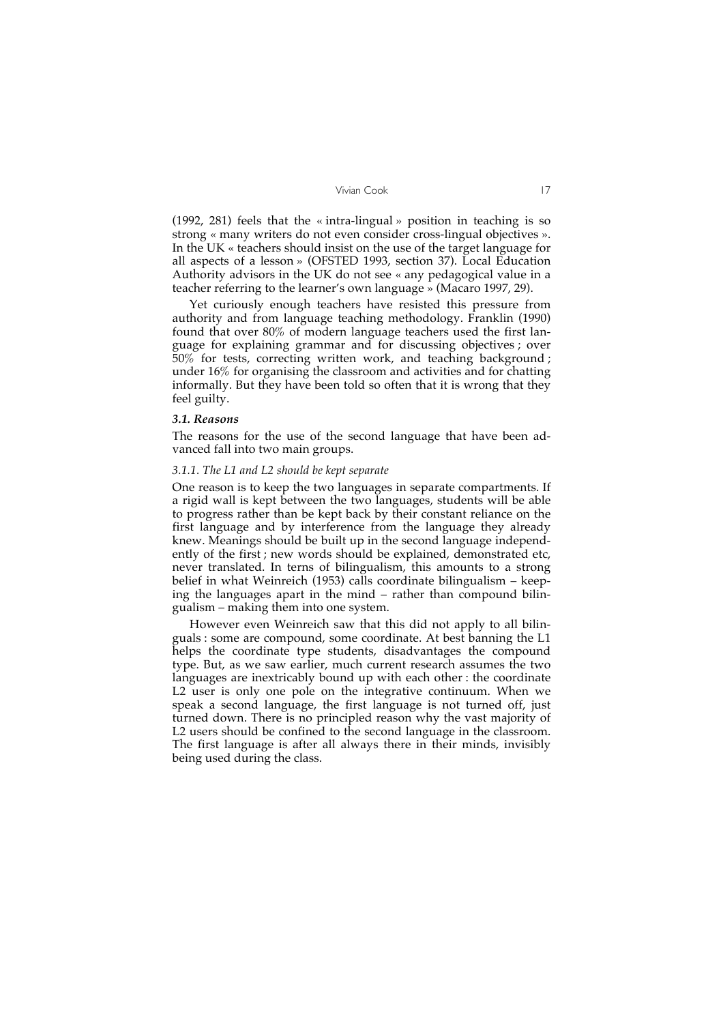(1992, 281) feels that the « intra-lingual » position in teaching is so strong « many writers do not even consider cross-lingual objectives ». In the UK « teachers should insist on the use of the target language for all aspects of a lesson » (OFSTED 1993, section 37). Local Education Authority advisors in the UK do not see « any pedagogical value in a teacher referring to the learner's own language » (Macaro 1997, 29).

Yet curiously enough teachers have resisted this pressure from authority and from language teaching methodology. Franklin (1990) found that over 80% of modern language teachers used the first language for explaining grammar and for discussing objectives ; over 50% for tests, correcting written work, and teaching background ; under 16% for organising the classroom and activities and for chatting informally. But they have been told so often that it is wrong that they feel guilty.

#### *3.1. Reasons*

The reasons for the use of the second language that have been advanced fall into two main groups.

## *3.1.1. The L1 and L2 should be kept separate*

One reason is to keep the two languages in separate compartments. If a rigid wall is kept between the two languages, students will be able to progress rather than be kept back by their constant reliance on the first language and by interference from the language they already knew. Meanings should be built up in the second language independently of the first ; new words should be explained, demonstrated etc, never translated. In terns of bilingualism, this amounts to a strong belief in what Weinreich (1953) calls coordinate bilingualism – keeping the languages apart in the mind – rather than compound bilingualism – making them into one system.

However even Weinreich saw that this did not apply to all bilinguals : some are compound, some coordinate. At best banning the L1 helps the coordinate type students, disadvantages the compound type. But, as we saw earlier, much current research assumes the two languages are inextricably bound up with each other : the coordinate L2 user is only one pole on the integrative continuum. When we speak a second language, the first language is not turned off, just turned down. There is no principled reason why the vast majority of L2 users should be confined to the second language in the classroom. The first language is after all always there in their minds, invisibly being used during the class.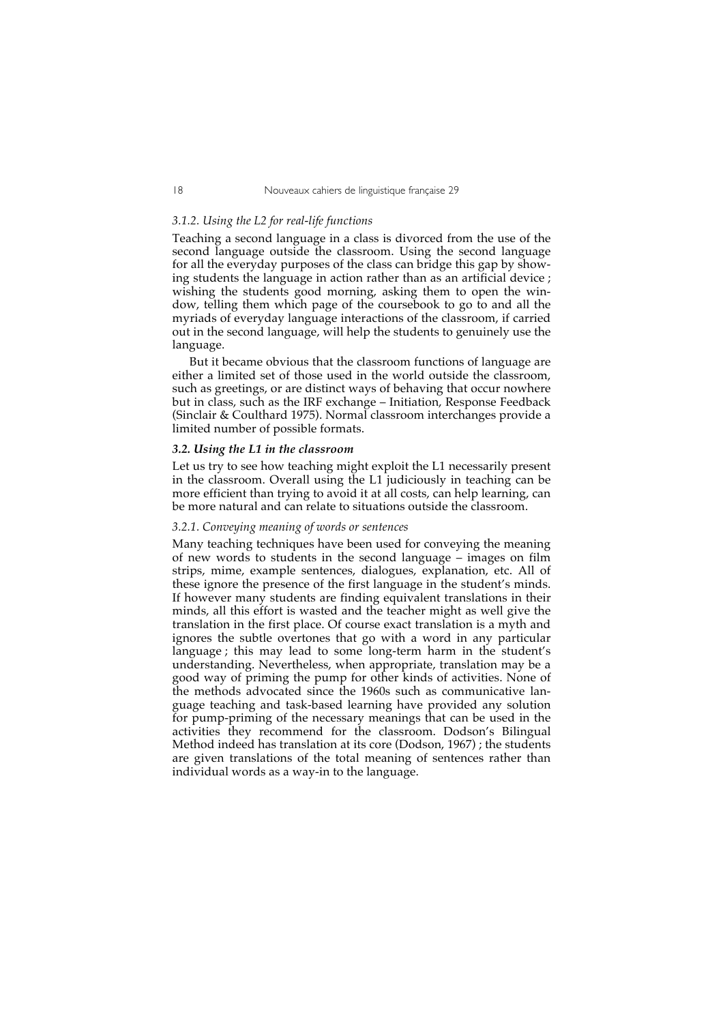#### *3.1.2. Using the L2 for real-life functions*

Teaching a second language in a class is divorced from the use of the second language outside the classroom. Using the second language for all the everyday purposes of the class can bridge this gap by showing students the language in action rather than as an artificial device ; wishing the students good morning, asking them to open the window, telling them which page of the coursebook to go to and all the myriads of everyday language interactions of the classroom, if carried out in the second language, will help the students to genuinely use the language.

But it became obvious that the classroom functions of language are either a limited set of those used in the world outside the classroom, such as greetings, or are distinct ways of behaving that occur nowhere but in class, such as the IRF exchange – Initiation, Response Feedback (Sinclair & Coulthard 1975). Normal classroom interchanges provide a limited number of possible formats.

## *3.2. Using the L1 in the classroom*

Let us try to see how teaching might exploit the L1 necessarily present in the classroom. Overall using the L1 judiciously in teaching can be more efficient than trying to avoid it at all costs, can help learning, can be more natural and can relate to situations outside the classroom.

#### *3.2.1. Conveying meaning of words or sentences*

Many teaching techniques have been used for conveying the meaning of new words to students in the second language – images on film strips, mime, example sentences, dialogues, explanation, etc. All of these ignore the presence of the first language in the student's minds. If however many students are finding equivalent translations in their minds, all this effort is wasted and the teacher might as well give the translation in the first place. Of course exact translation is a myth and ignores the subtle overtones that go with a word in any particular language; this may lead to some long-term harm in the student's understanding. Nevertheless, when appropriate, translation may be a good way of priming the pump for other kinds of activities. None of the methods advocated since the 1960s such as communicative language teaching and task-based learning have provided any solution for pump-priming of the necessary meanings that can be used in the activities they recommend for the classroom. Dodson's Bilingual Method indeed has translation at its core (Dodson, 1967) ; the students are given translations of the total meaning of sentences rather than individual words as a way-in to the language.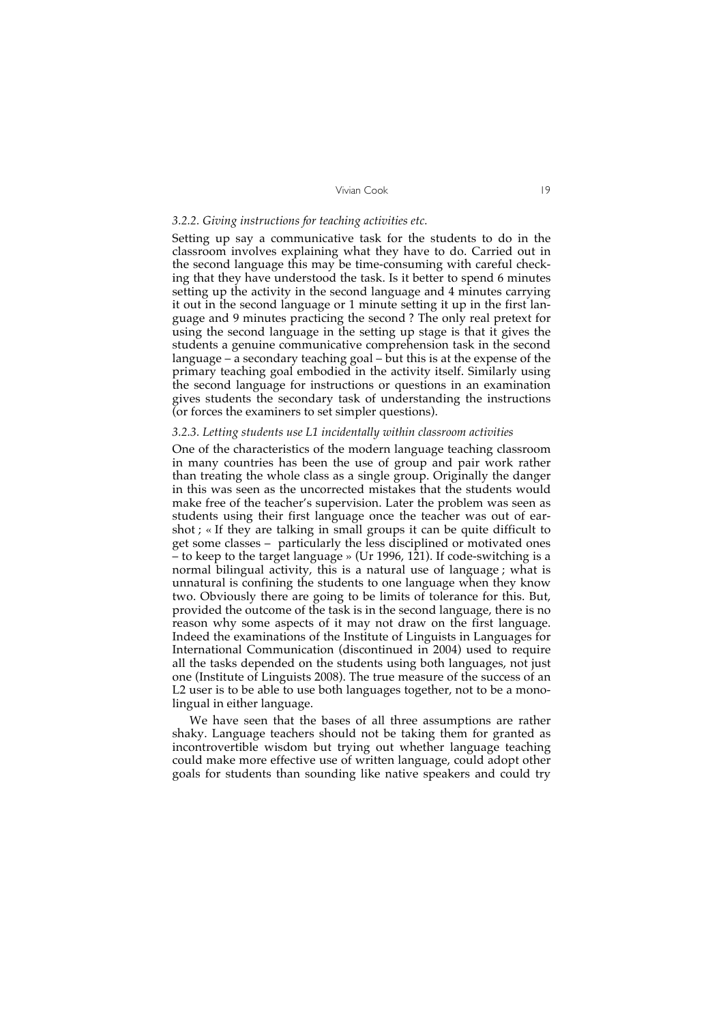#### *3.2.2. Giving instructions for teaching activities etc.*

Setting up say a communicative task for the students to do in the classroom involves explaining what they have to do. Carried out in the second language this may be time-consuming with careful checking that they have understood the task. Is it better to spend 6 minutes setting up the activity in the second language and 4 minutes carrying it out in the second language or 1 minute setting it up in the first language and 9 minutes practicing the second ? The only real pretext for using the second language in the setting up stage is that it gives the students a genuine communicative comprehension task in the second language – a secondary teaching goal – but this is at the expense of the primary teaching goal embodied in the activity itself. Similarly using the second language for instructions or questions in an examination gives students the secondary task of understanding the instructions (or forces the examiners to set simpler questions).

#### *3.2.3. Letting students use L1 incidentally within classroom activities*

One of the characteristics of the modern language teaching classroom in many countries has been the use of group and pair work rather than treating the whole class as a single group. Originally the danger in this was seen as the uncorrected mistakes that the students would make free of the teacher's supervision. Later the problem was seen as students using their first language once the teacher was out of earshot ; « If they are talking in small groups it can be quite difficult to get some classes – particularly the less disciplined or motivated ones – to keep to the target language » (Ur 1996, 121). If code-switching is a normal bilingual activity, this is a natural use of language ; what is unnatural is confining the students to one language when they know two. Obviously there are going to be limits of tolerance for this. But, provided the outcome of the task is in the second language, there is no reason why some aspects of it may not draw on the first language. Indeed the examinations of the Institute of Linguists in Languages for International Communication (discontinued in 2004) used to require all the tasks depended on the students using both languages, not just one (Institute of Linguists 2008). The true measure of the success of an L2 user is to be able to use both languages together, not to be a monolingual in either language.

We have seen that the bases of all three assumptions are rather shaky. Language teachers should not be taking them for granted as incontrovertible wisdom but trying out whether language teaching could make more effective use of written language, could adopt other goals for students than sounding like native speakers and could try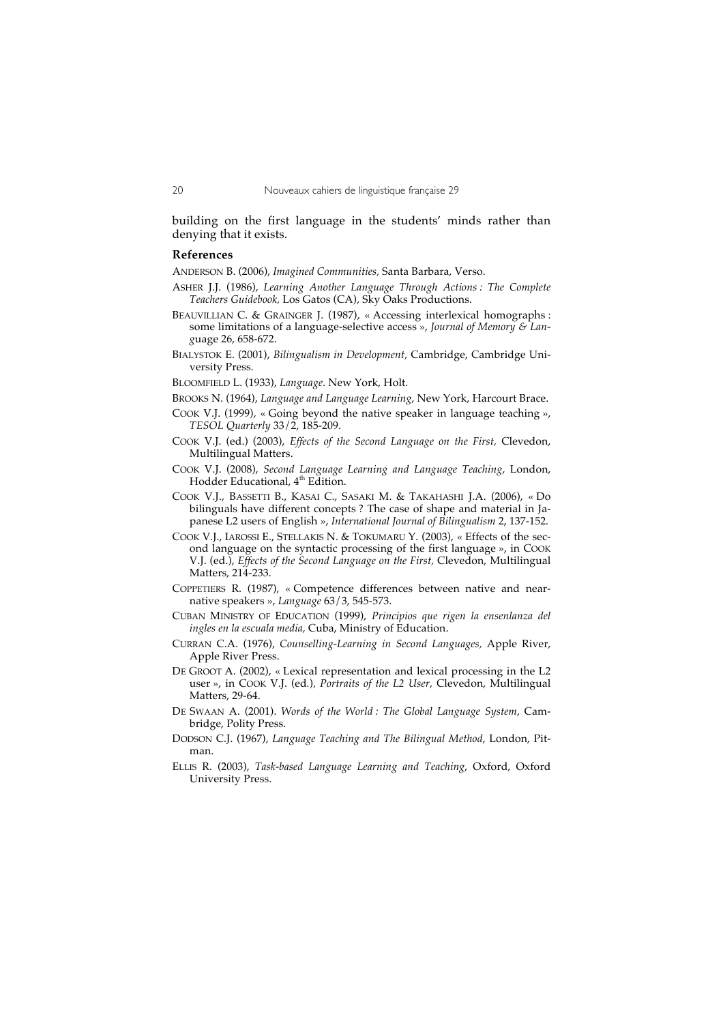building on the first language in the students' minds rather than denying that it exists.

#### **References**

ANDERSON B. (2006), *Imagined Communities,* Santa Barbara, Verso.

- ASHER J.J. (1986), *Learning Another Language Through Actions : The Complete Teachers Guidebook,* Los Gatos (CA), Sky Oaks Productions.
- BEAUVILLIAN C. & GRAINGER J. (1987), « Accessing interlexical homographs : some limitations of a language-selective access », *Journal of Memory & Lang*uage 26, 658-672.
- BIALYSTOK E. (2001), *Bilingualism in Development,* Cambridge, Cambridge University Press.
- BLOOMFIELD L. (1933), *Language*. New York, Holt.
- BROOKS N. (1964), *Language and Language Learning*, New York, Harcourt Brace.
- COOK V.J. (1999), « Going beyond the native speaker in language teaching », *TESOL Quarterly* 33/2, 185-209.
- COOK V.J. (ed.) (2003), *Effects of the Second Language on the First,* Clevedon, Multilingual Matters.
- COOK V.J. (2008), *Second Language Learning and Language Teaching*, London, Hodder Educational, 4<sup>th</sup> Edition.
- COOK V.J., BASSETTI B., KASAI C., SASAKI M. & TAKAHASHI J.A. (2006), « Do bilinguals have different concepts ? The case of shape and material in Japanese L2 users of English », *International Journal of Bilingualism* 2, 137-152*.*
- COOK V.J., IAROSSI E., STELLAKIS N. & TOKUMARU Y. (2003), « Effects of the second language on the syntactic processing of the first language », in COOK V.J. (ed.), *Effects of the Second Language on the First,* Clevedon, Multilingual Matters, 214-233.
- COPPETIERS R. (1987), « Competence differences between native and nearnative speakers », *Language* 63/3, 545-573.
- CUBAN MINISTRY OF EDUCATION (1999), *Principios que rigen la ensenlanza del ingles en la escuala media,* Cuba, Ministry of Education.
- CURRAN C.A. (1976), *Counselling-Learning in Second Languages,* Apple River, Apple River Press.
- DE GROOT A. (2002), « Lexical representation and lexical processing in the L2 user », in COOK V.J. (ed*.*)*, Portraits of the L2 User*, Clevedon, Multilingual Matters, 29-64.
- DE SWAAN A. (2001). *Words of the World : The Global Language System*, Cambridge, Polity Press.
- DODSON C.J. (1967), *Language Teaching and The Bilingual Method*, London, Pitman.
- ELLIS R. (2003), *Task-based Language Learning and Teaching*, Oxford, Oxford University Press.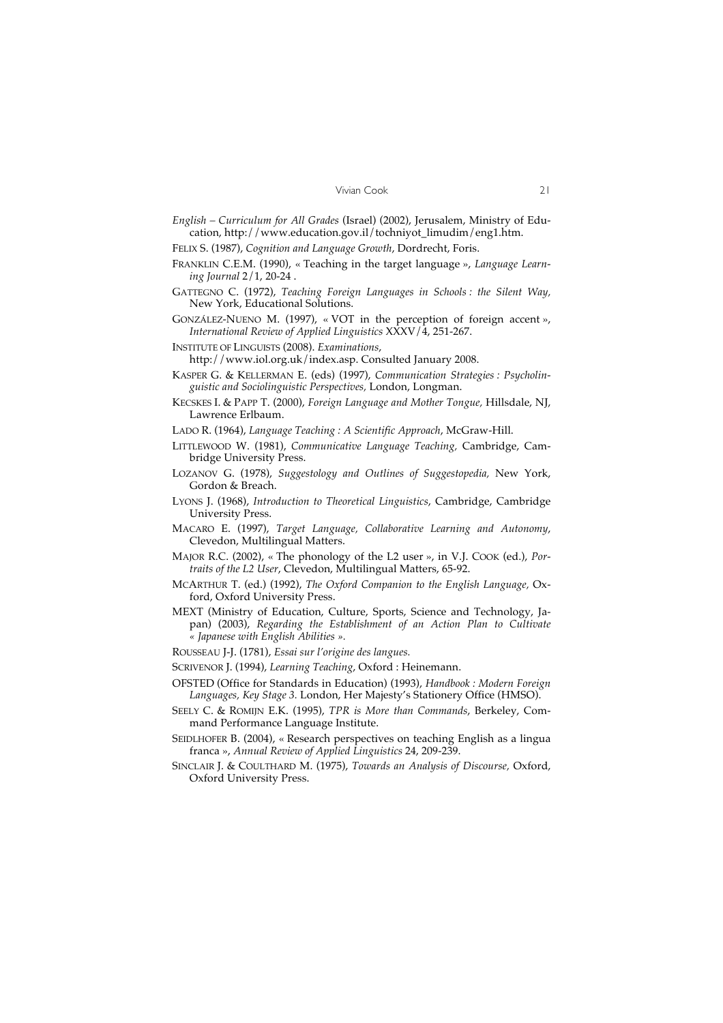- *English Curriculum for All Grades* (Israel) (2002), Jerusalem, Ministry of Education, http://www.education.gov.il/tochniyot\_limudim/eng1.htm.
- FELIX S. (1987), *Cognition and Language Growth*, Dordrecht, Foris.
- FRANKLIN C.E.M. (1990), « Teaching in the target language », *Language Learning Journal* 2/1, 20-24 .
- GATTEGNO C. (1972), *Teaching Foreign Languages in Schools : the Silent Way,*  New York, Educational Solutions.
- GONZÁLEZ-NUENO M. (1997), « VOT in the perception of foreign accent », *International Review of Applied Linguistics* XXXV/4, 251-267.
- INSTITUTE OF LINGUISTS (2008). *Examinations*,
	- http://www.iol.org.uk/index.asp. Consulted January 2008.
- KASPER G. & KELLERMAN E. (eds) (1997), *Communication Strategies : Psycholinguistic and Sociolinguistic Perspectives,* London, Longman.
- KECSKES I. & PAPP T. (2000), *Foreign Language and Mother Tongue,* Hillsdale, NJ, Lawrence Erlbaum.
- LADO R. (1964), *Language Teaching : A Scientific Approach*, McGraw-Hill.
- LITTLEWOOD W. (1981), *Communicative Language Teaching,* Cambridge, Cambridge University Press.
- LOZANOV G. (1978), *Suggestology and Outlines of Suggestopedia,* New York, Gordon & Breach.
- LYONS J. (1968), *Introduction to Theoretical Linguistics*, Cambridge, Cambridge University Press.
- MACARO E. (1997), *Target Language, Collaborative Learning and Autonomy*, Clevedon, Multilingual Matters.
- MAJOR R.C. (2002), « The phonology of the L2 user », in V.J. COOK (ed.), *Portraits of the L2 User*, Clevedon, Multilingual Matters, 65-92.
- MCARTHUR T. (ed.) (1992), *The Oxford Companion to the English Language,* Oxford, Oxford University Press.
- MEXT (Ministry of Education, Culture, Sports, Science and Technology, Japan) (2003), *Regarding the Establishment of an Action Plan to Cultivate « Japanese with English Abilities ».*
- ROUSSEAU J-J. (1781), *Essai sur l'origine des langues.*
- SCRIVENOR J. (1994), *Learning Teaching*, Oxford : Heinemann.
- OFSTED (Office for Standards in Education) (1993), *Handbook : Modern Foreign Languages, Key Stage 3.* London, Her Majesty's Stationery Office (HMSO).
- SEELY C. & ROMIJN E.K. (1995), *TPR is More than Commands*, Berkeley, Command Performance Language Institute.
- SEIDLHOFER B. (2004), « Research perspectives on teaching English as a lingua franca », *Annual Review of Applied Linguistics* 24, 209-239.
- SINCLAIR J. & COULTHARD M. (1975), *Towards an Analysis of Discourse,* Oxford, Oxford University Press.